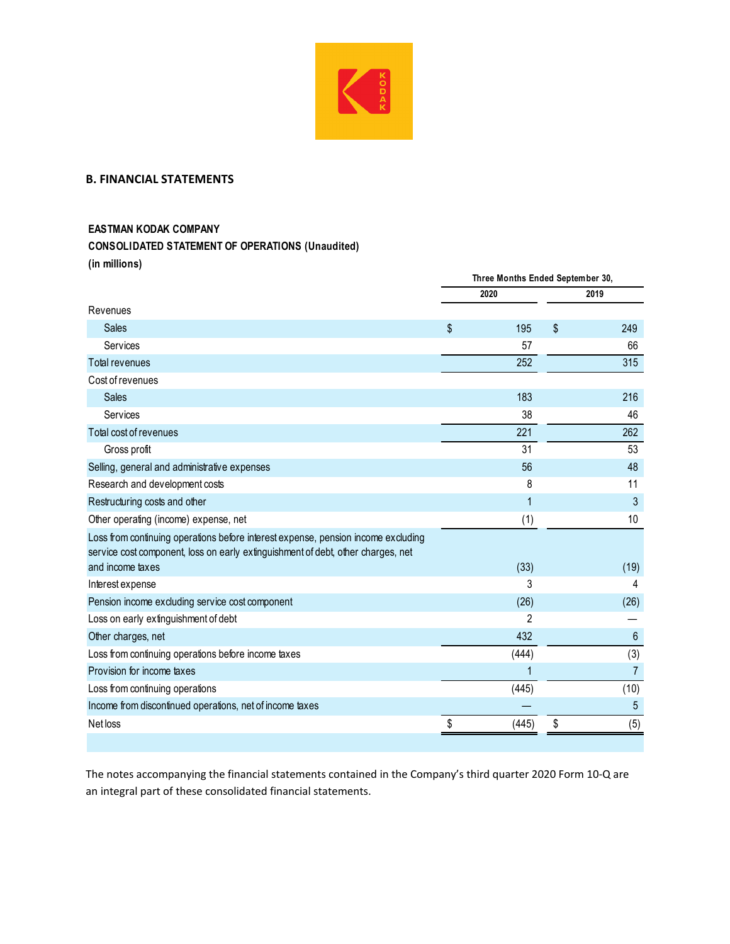

## **B. FINANCIAL STATEMENTS**

## **EASTMAN KODAK COMPANY**

## **CONSOLIDATED STATEMENT OF OPERATIONS (Unaudited)**

**(in millions)**

|                                                                                                                                                                       | Three Months Ended September 30, |       |    |                |  |
|-----------------------------------------------------------------------------------------------------------------------------------------------------------------------|----------------------------------|-------|----|----------------|--|
|                                                                                                                                                                       |                                  | 2020  |    | 2019           |  |
| Revenues                                                                                                                                                              |                                  |       |    |                |  |
| <b>Sales</b>                                                                                                                                                          | \$                               | 195   | \$ | 249            |  |
| Services                                                                                                                                                              |                                  | 57    |    | 66             |  |
| <b>Total revenues</b>                                                                                                                                                 |                                  | 252   |    | 315            |  |
| Cost of revenues                                                                                                                                                      |                                  |       |    |                |  |
| <b>Sales</b>                                                                                                                                                          |                                  | 183   |    | 216            |  |
| Services                                                                                                                                                              |                                  | 38    |    | 46             |  |
| Total cost of revenues                                                                                                                                                |                                  | 221   |    | 262            |  |
| Gross profit                                                                                                                                                          |                                  | 31    |    | 53             |  |
| Selling, general and administrative expenses                                                                                                                          |                                  | 56    |    | 48             |  |
| Research and development costs                                                                                                                                        |                                  | 8     |    | 11             |  |
| Restructuring costs and other                                                                                                                                         |                                  | 1     |    | 3              |  |
| Other operating (income) expense, net                                                                                                                                 |                                  | (1)   |    | 10             |  |
| Loss from continuing operations before interest expense, pension income excluding<br>service cost component, loss on early extinguishment of debt, other charges, net |                                  |       |    |                |  |
| and income taxes                                                                                                                                                      |                                  | (33)  |    | (19)           |  |
| Interest expense                                                                                                                                                      |                                  | 3     |    | 4              |  |
| Pension income excluding service cost component                                                                                                                       |                                  | (26)  |    | (26)           |  |
| Loss on early extinguishment of debt                                                                                                                                  |                                  | 2     |    |                |  |
| Other charges, net                                                                                                                                                    |                                  | 432   |    | 6              |  |
| Loss from continuing operations before income taxes                                                                                                                   |                                  | (444) |    | (3)            |  |
| Provision for income taxes                                                                                                                                            |                                  | 1     |    | $\overline{7}$ |  |
| Loss from continuing operations                                                                                                                                       |                                  | (445) |    | (10)           |  |
| Income from discontinued operations, net of income taxes                                                                                                              |                                  |       |    | $\overline{5}$ |  |
| Net loss                                                                                                                                                              | \$                               | (445) | \$ | (5)            |  |
|                                                                                                                                                                       |                                  |       |    |                |  |

The notes accompanying the financial statements contained in the Company's third quarter 2020 Form 10‐Q are an integral part of these consolidated financial statements.